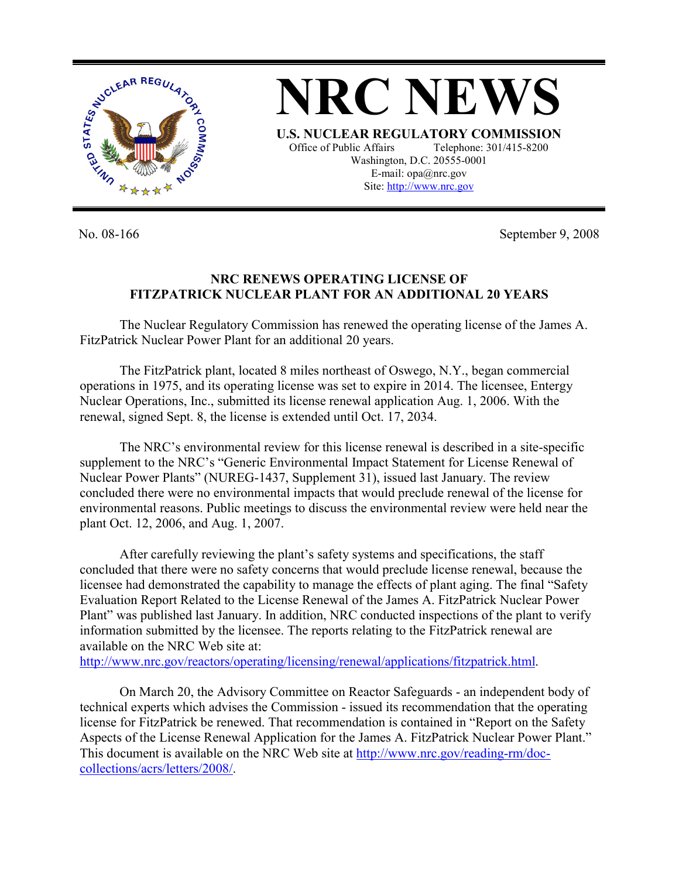

**NRC NEWS U.S. NUCLEAR REGULATORY COMMISSION** Office of Public Affairs Telephone: 301/415-8200 Washington, D.C. 20555-0001 E-mail: opa@nrc.gov Site: http://www.nrc.gov

No. 08-166 September 9, 2008

## **NRC RENEWS OPERATING LICENSE OF FITZPATRICK NUCLEAR PLANT FOR AN ADDITIONAL 20 YEARS**

The Nuclear Regulatory Commission has renewed the operating license of the James A. FitzPatrick Nuclear Power Plant for an additional 20 years.

The FitzPatrick plant, located 8 miles northeast of Oswego, N.Y., began commercial operations in 1975, and its operating license was set to expire in 2014. The licensee, Entergy Nuclear Operations, Inc., submitted its license renewal application Aug. 1, 2006. With the renewal, signed Sept. 8, the license is extended until Oct. 17, 2034.

The NRC's environmental review for this license renewal is described in a site-specific supplement to the NRC's "Generic Environmental Impact Statement for License Renewal of Nuclear Power Plants" (NUREG-1437, Supplement 31), issued last January. The review concluded there were no environmental impacts that would preclude renewal of the license for environmental reasons. Public meetings to discuss the environmental review were held near the plant Oct. 12, 2006, and Aug. 1, 2007.

After carefully reviewing the plant's safety systems and specifications, the staff concluded that there were no safety concerns that would preclude license renewal, because the licensee had demonstrated the capability to manage the effects of plant aging. The final "Safety Evaluation Report Related to the License Renewal of the James A. FitzPatrick Nuclear Power Plant" was published last January. In addition, NRC conducted inspections of the plant to verify information submitted by the licensee. The reports relating to the FitzPatrick renewal are available on the NRC Web site at:

http://www.nrc.gov/reactors/operating/licensing/renewal/applications/fitzpatrick.html.

On March 20, the Advisory Committee on Reactor Safeguards - an independent body of technical experts which advises the Commission - issued its recommendation that the operating license for FitzPatrick be renewed. That recommendation is contained in "Report on the Safety Aspects of the License Renewal Application for the James A. FitzPatrick Nuclear Power Plant." This document is available on the NRC Web site at http://www.nrc.gov/reading-rm/doccollections/acrs/letters/2008/.